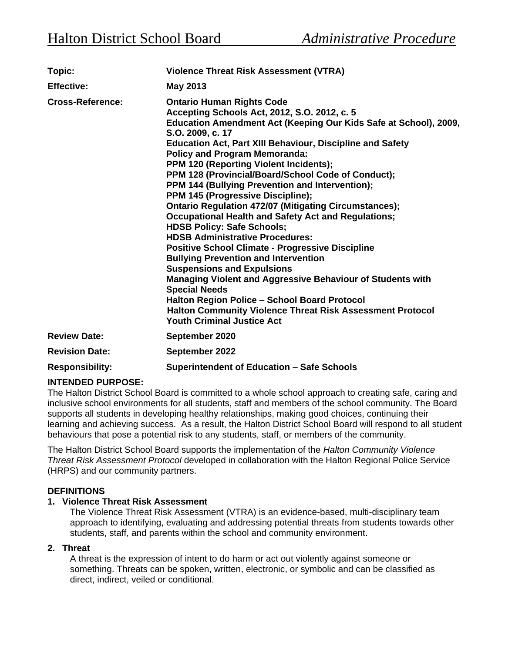| Topic:                  | <b>Violence Threat Risk Assessment (VTRA)</b>                                                                                                                                                                                                                                                                                                                                                                                                                                                                                                                                                                                                                                                                                                                                                                                                                                                                                                                                                                                                                                                  |
|-------------------------|------------------------------------------------------------------------------------------------------------------------------------------------------------------------------------------------------------------------------------------------------------------------------------------------------------------------------------------------------------------------------------------------------------------------------------------------------------------------------------------------------------------------------------------------------------------------------------------------------------------------------------------------------------------------------------------------------------------------------------------------------------------------------------------------------------------------------------------------------------------------------------------------------------------------------------------------------------------------------------------------------------------------------------------------------------------------------------------------|
| <b>Effective:</b>       | May 2013                                                                                                                                                                                                                                                                                                                                                                                                                                                                                                                                                                                                                                                                                                                                                                                                                                                                                                                                                                                                                                                                                       |
| <b>Cross-Reference:</b> | <b>Ontario Human Rights Code</b><br>Accepting Schools Act, 2012, S.O. 2012, c. 5<br>Education Amendment Act (Keeping Our Kids Safe at School), 2009,<br>S.O. 2009, c. 17<br><b>Education Act, Part XIII Behaviour, Discipline and Safety</b><br><b>Policy and Program Memoranda:</b><br>PPM 120 (Reporting Violent Incidents);<br>PPM 128 (Provincial/Board/School Code of Conduct);<br>PPM 144 (Bullying Prevention and Intervention);<br>PPM 145 (Progressive Discipline);<br><b>Ontario Regulation 472/07 (Mitigating Circumstances);</b><br><b>Occupational Health and Safety Act and Regulations;</b><br><b>HDSB Policy: Safe Schools;</b><br><b>HDSB Administrative Procedures:</b><br><b>Positive School Climate - Progressive Discipline</b><br><b>Bullying Prevention and Intervention</b><br><b>Suspensions and Expulsions</b><br>Managing Violent and Aggressive Behaviour of Students with<br><b>Special Needs</b><br><b>Halton Region Police - School Board Protocol</b><br><b>Halton Community Violence Threat Risk Assessment Protocol</b><br><b>Youth Criminal Justice Act</b> |
| <b>Review Date:</b>     | September 2020                                                                                                                                                                                                                                                                                                                                                                                                                                                                                                                                                                                                                                                                                                                                                                                                                                                                                                                                                                                                                                                                                 |
| <b>Revision Date:</b>   | September 2022                                                                                                                                                                                                                                                                                                                                                                                                                                                                                                                                                                                                                                                                                                                                                                                                                                                                                                                                                                                                                                                                                 |
| <b>Responsibility:</b>  | <b>Superintendent of Education - Safe Schools</b>                                                                                                                                                                                                                                                                                                                                                                                                                                                                                                                                                                                                                                                                                                                                                                                                                                                                                                                                                                                                                                              |

# **INTENDED PURPOSE:**

The Halton District School Board is committed to a whole school approach to creating safe, caring and inclusive school environments for all students, staff and members of the school community. The Board supports all students in developing healthy relationships, making good choices, continuing their learning and achieving success. As a result, the Halton District School Board will respond to all student behaviours that pose a potential risk to any students, staff, or members of the community.

The Halton District School Board supports the implementation of the *Halton Community Violence Threat Risk Assessment Protocol* developed in collaboration with the Halton Regional Police Service (HRPS) and our community partners.

## **DEFINITIONS**

## **1. Violence Threat Risk Assessment**

The Violence Threat Risk Assessment (VTRA) is an evidence-based, multi-disciplinary team approach to identifying, evaluating and addressing potential threats from students towards other students, staff, and parents within the school and community environment.

## **2. Threat**

A threat is the expression of intent to do harm or act out violently against someone or something. Threats can be spoken, written, electronic, or symbolic and can be classified as direct, indirect, veiled or conditional.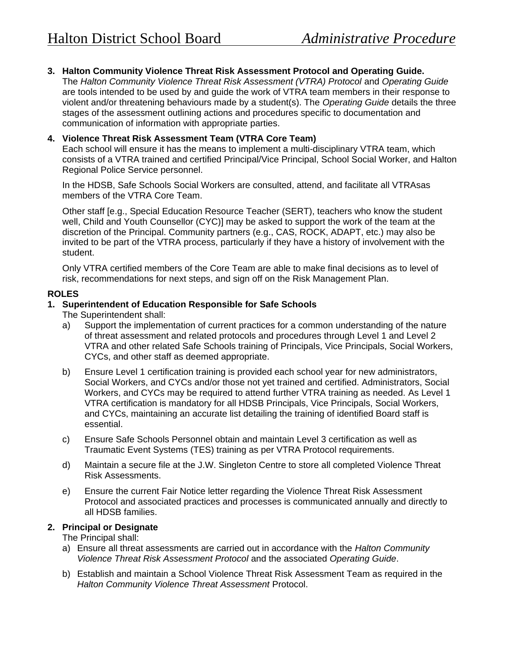**3. Halton Community Violence Threat Risk Assessment Protocol and Operating Guide.**

The *Halton Community Violence Threat Risk Assessment (VTRA) Protocol* and *Operating Guide* are tools intended to be used by and guide the work of VTRA team members in their response to violent and/or threatening behaviours made by a student(s). The *Operating Guide* details the three stages of the assessment outlining actions and procedures specific to documentation and communication of information with appropriate parties.

# **4. Violence Threat Risk Assessment Team (VTRA Core Team)**

Each school will ensure it has the means to implement a multi-disciplinary VTRA team, which consists of a VTRA trained and certified Principal/Vice Principal, School Social Worker, and Halton Regional Police Service personnel.

In the HDSB, Safe Schools Social Workers are consulted, attend, and facilitate all VTRAsas members of the VTRA Core Team.

Other staff [e.g., Special Education Resource Teacher (SERT), teachers who know the student well, Child and Youth Counsellor (CYC)] may be asked to support the work of the team at the discretion of the Principal. Community partners (e.g., CAS, ROCK, ADAPT, etc.) may also be invited to be part of the VTRA process, particularly if they have a history of involvement with the student.

Only VTRA certified members of the Core Team are able to make final decisions as to level of risk, recommendations for next steps, and sign off on the Risk Management Plan.

# **ROLES**

## **1. Superintendent of Education Responsible for Safe Schools**

The Superintendent shall:

- a) Support the implementation of current practices for a common understanding of the nature of threat assessment and related protocols and procedures through Level 1 and Level 2 VTRA and other related Safe Schools training of Principals, Vice Principals, Social Workers, CYCs, and other staff as deemed appropriate.
- b) Ensure Level 1 certification training is provided each school year for new administrators, Social Workers, and CYCs and/or those not yet trained and certified. Administrators, Social Workers, and CYCs may be required to attend further VTRA training as needed. As Level 1 VTRA certification is mandatory for all HDSB Principals, Vice Principals, Social Workers, and CYCs, maintaining an accurate list detailing the training of identified Board staff is essential.
- c) Ensure Safe Schools Personnel obtain and maintain Level 3 certification as well as Traumatic Event Systems (TES) training as per VTRA Protocol requirements.
- d) Maintain a secure file at the J.W. Singleton Centre to store all completed Violence Threat Risk Assessments.
- e) Ensure the current Fair Notice letter regarding the Violence Threat Risk Assessment Protocol and associated practices and processes is communicated annually and directly to all HDSB families.

# **2. Principal or Designate**

The Principal shall:

- a) Ensure all threat assessments are carried out in accordance with the *Halton Community Violence Threat Risk Assessment Protocol* and the associated *Operating Guide*.
- b) Establish and maintain a School Violence Threat Risk Assessment Team as required in the *Halton Community Violence Threat Assessment* Protocol.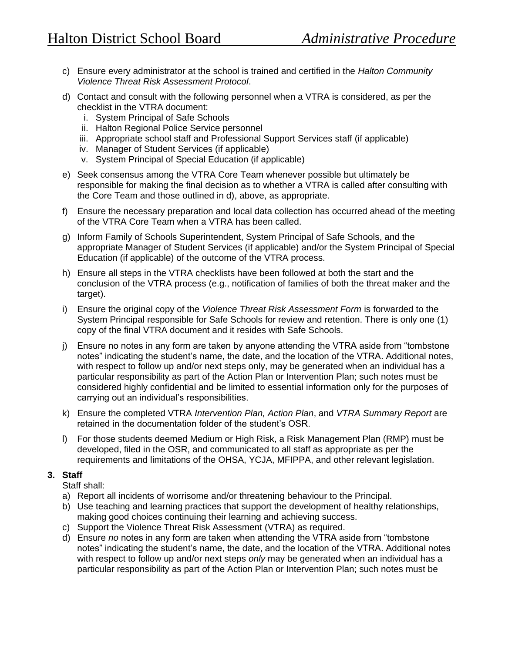- c) Ensure every administrator at the school is trained and certified in the *Halton Community Violence Threat Risk Assessment Protocol*.
- d) Contact and consult with the following personnel when a VTRA is considered, as per the checklist in the VTRA document:
	- i. System Principal of Safe Schools
	- ii. Halton Regional Police Service personnel
	- iii. Appropriate school staff and Professional Support Services staff (if applicable)
	- iv. Manager of Student Services (if applicable)
	- v. System Principal of Special Education (if applicable)
- e) Seek consensus among the VTRA Core Team whenever possible but ultimately be responsible for making the final decision as to whether a VTRA is called after consulting with the Core Team and those outlined in d), above, as appropriate.
- f) Ensure the necessary preparation and local data collection has occurred ahead of the meeting of the VTRA Core Team when a VTRA has been called.
- g) Inform Family of Schools Superintendent, System Principal of Safe Schools, and the appropriate Manager of Student Services (if applicable) and/or the System Principal of Special Education (if applicable) of the outcome of the VTRA process.
- h) Ensure all steps in the VTRA checklists have been followed at both the start and the conclusion of the VTRA process (e.g., notification of families of both the threat maker and the target).
- i) Ensure the original copy of the *Violence Threat Risk Assessment Form* is forwarded to the System Principal responsible for Safe Schools for review and retention. There is only one (1) copy of the final VTRA document and it resides with Safe Schools.
- j) Ensure no notes in any form are taken by anyone attending the VTRA aside from "tombstone notes" indicating the student's name, the date, and the location of the VTRA. Additional notes, with respect to follow up and/or next steps only, may be generated when an individual has a particular responsibility as part of the Action Plan or Intervention Plan; such notes must be considered highly confidential and be limited to essential information only for the purposes of carrying out an individual's responsibilities.
- k) Ensure the completed VTRA *Intervention Plan, Action Plan*, and *VTRA Summary Report* are retained in the documentation folder of the student's OSR.
- l) For those students deemed Medium or High Risk, a Risk Management Plan (RMP) must be developed, filed in the OSR, and communicated to all staff as appropriate as per the requirements and limitations of the OHSA, YCJA, MFIPPA, and other relevant legislation.

# **3. Staff**

Staff shall:

- a) Report all incidents of worrisome and/or threatening behaviour to the Principal.
- b) Use teaching and learning practices that support the development of healthy relationships, making good choices continuing their learning and achieving success.
- c) Support the Violence Threat Risk Assessment (VTRA) as required.
- d) Ensure *no* notes in any form are taken when attending the VTRA aside from "tombstone notes" indicating the student's name, the date, and the location of the VTRA. Additional notes with respect to follow up and/or next steps *only* may be generated when an individual has a particular responsibility as part of the Action Plan or Intervention Plan; such notes must be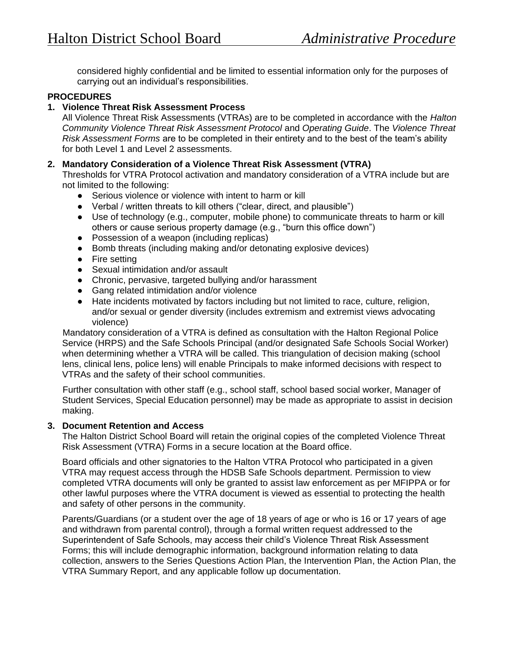considered highly confidential and be limited to essential information only for the purposes of carrying out an individual's responsibilities.

## **PROCEDURES**

## **1. Violence Threat Risk Assessment Process**

All Violence Threat Risk Assessments (VTRAs) are to be completed in accordance with the *Halton Community Violence Threat Risk Assessment Protocol* and *Operating Guide*. The *Violence Threat Risk Assessment Forms* are to be completed in their entirety and to the best of the team's ability for both Level 1 and Level 2 assessments.

#### **2. Mandatory Consideration of a Violence Threat Risk Assessment (VTRA)**

Thresholds for VTRA Protocol activation and mandatory consideration of a VTRA include but are not limited to the following:

- Serious violence or violence with intent to harm or kill
- Verbal / written threats to kill others ("clear, direct, and plausible")
- Use of technology (e.g., computer, mobile phone) to communicate threats to harm or kill others or cause serious property damage (e.g., "burn this office down")
- Possession of a weapon (including replicas)
- Bomb threats (including making and/or detonating explosive devices)
- Fire setting
- Sexual intimidation and/or assault
- Chronic, pervasive, targeted bullying and/or harassment
- Gang related intimidation and/or violence
- Hate incidents motivated by factors including but not limited to race, culture, religion, and/or sexual or gender diversity (includes extremism and extremist views advocating violence)

Mandatory consideration of a VTRA is defined as consultation with the Halton Regional Police Service (HRPS) and the Safe Schools Principal (and/or designated Safe Schools Social Worker) when determining whether a VTRA will be called. This triangulation of decision making (school lens, clinical lens, police lens) will enable Principals to make informed decisions with respect to VTRAs and the safety of their school communities.

Further consultation with other staff (e.g., school staff, school based social worker, Manager of Student Services, Special Education personnel) may be made as appropriate to assist in decision making.

#### **3. Document Retention and Access**

The Halton District School Board will retain the original copies of the completed Violence Threat Risk Assessment (VTRA) Forms in a secure location at the Board office.

Board officials and other signatories to the Halton VTRA Protocol who participated in a given VTRA may request access through the HDSB Safe Schools department. Permission to view completed VTRA documents will only be granted to assist law enforcement as per MFIPPA or for other lawful purposes where the VTRA document is viewed as essential to protecting the health and safety of other persons in the community.

Parents/Guardians (or a student over the age of 18 years of age or who is 16 or 17 years of age and withdrawn from parental control), through a formal written request addressed to the Superintendent of Safe Schools, may access their child's Violence Threat Risk Assessment Forms; this will include demographic information, background information relating to data collection, answers to the Series Questions Action Plan, the Intervention Plan, the Action Plan, the VTRA Summary Report, and any applicable follow up documentation.